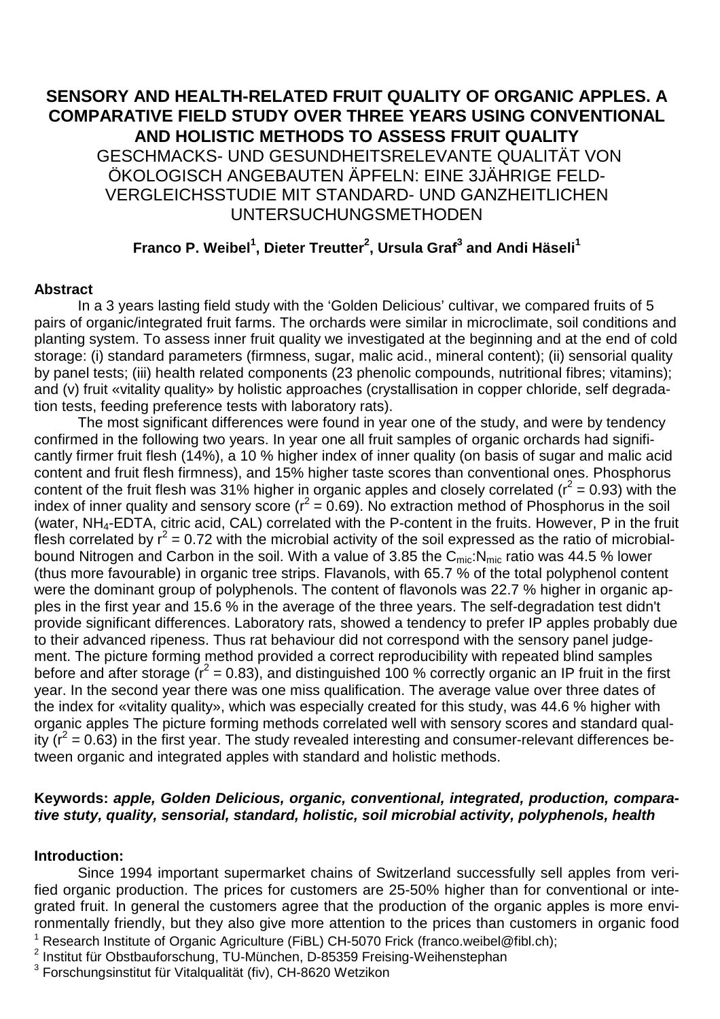# **SENSORY AND HEALTH-RELATED FRUIT QUALITY OF ORGANIC APPLES. A COMPARATIVE FIELD STUDY OVER THREE YEARS USING CONVENTIONAL AND HOLISTIC METHODS TO ASSESS FRUIT QUALITY**  GESCHMACKS- UND GESUNDHEITSRELEVANTE QUALITÄT VON ÖKOLOGISCH ANGEBAUTEN ÄPFELN: EINE 3JÄHRIGE FELD-VERGLEICHSSTUDIE MIT STANDARD- UND GANZHEITLICHEN UNTERSUCHUNGSMETHODEN

# **Franco P. Weibel<sup>1</sup> , Dieter Treutter<sup>2</sup> , Ursula Graf<sup>3</sup> and Andi Häseli<sup>1</sup>**

## **Abstract**

 In a 3 years lasting field study with the 'Golden Delicious' cultivar, we compared fruits of 5 pairs of organic/integrated fruit farms. The orchards were similar in microclimate, soil conditions and planting system. To assess inner fruit quality we investigated at the beginning and at the end of cold storage: (i) standard parameters (firmness, sugar, malic acid., mineral content); (ii) sensorial quality by panel tests; (iii) health related components (23 phenolic compounds, nutritional fibres; vitamins); and (v) fruit «vitality quality» by holistic approaches (crystallisation in copper chloride, self degradation tests, feeding preference tests with laboratory rats).

 The most significant differences were found in year one of the study, and were by tendency confirmed in the following two years. In year one all fruit samples of organic orchards had significantly firmer fruit flesh (14%), a 10 % higher index of inner quality (on basis of sugar and malic acid content and fruit flesh firmness), and 15% higher taste scores than conventional ones. Phosphorus content of the fruit flesh was 31% higher in organic apples and closely correlated ( $r^2$  = 0.93) with the index of inner quality and sensory score ( $r^2 = 0.69$ ). No extraction method of Phosphorus in the soil (water, NH4-EDTA, citric acid, CAL) correlated with the P-content in the fruits. However, P in the fruit flesh correlated by  $r^2$  = 0.72 with the microbial activity of the soil expressed as the ratio of microbialbound Nitrogen and Carbon in the soil. With a value of 3.85 the  $C<sub>mic</sub>:N<sub>mic</sub>$  ratio was 44.5 % lower (thus more favourable) in organic tree strips. Flavanols, with 65.7 % of the total polyphenol content were the dominant group of polyphenols. The content of flavonols was 22.7 % higher in organic apples in the first year and 15.6 % in the average of the three years. The self-degradation test didn't provide significant differences. Laboratory rats, showed a tendency to prefer IP apples probably due to their advanced ripeness. Thus rat behaviour did not correspond with the sensory panel judgement. The picture forming method provided a correct reproducibility with repeated blind samples before and after storage  $(r^2 = 0.83)$ , and distinguished 100 % correctly organic an IP fruit in the first year. In the second year there was one miss qualification. The average value over three dates of the index for «vitality quality», which was especially created for this study, was 44.6 % higher with organic apples The picture forming methods correlated well with sensory scores and standard quality ( $r^2$  = 0.63) in the first year. The study revealed interesting and consumer-relevant differences between organic and integrated apples with standard and holistic methods.

## **Keywords: apple, Golden Delicious, organic, conventional, integrated, production, comparative stuty, quality, sensorial, standard, holistic, soil microbial activity, polyphenols, health**

## **Introduction:**

1 Research Institute of Organic Agriculture (FiBL) CH-5070 Frick (franco.weibel@fibl.ch); Since 1994 important supermarket chains of Switzerland successfully sell apples from verified organic production. The prices for customers are 25-50% higher than for conventional or integrated fruit. In general the customers agree that the production of the organic apples is more environmentally friendly, but they also give more attention to the prices than customers in organic food

<sup>2</sup> Institut für Obstbauforschung, TU-München, D-85359 Freising-Weihenstephan

3 Forschungsinstitut für Vitalqualität (fiv), CH-8620 Wetzikon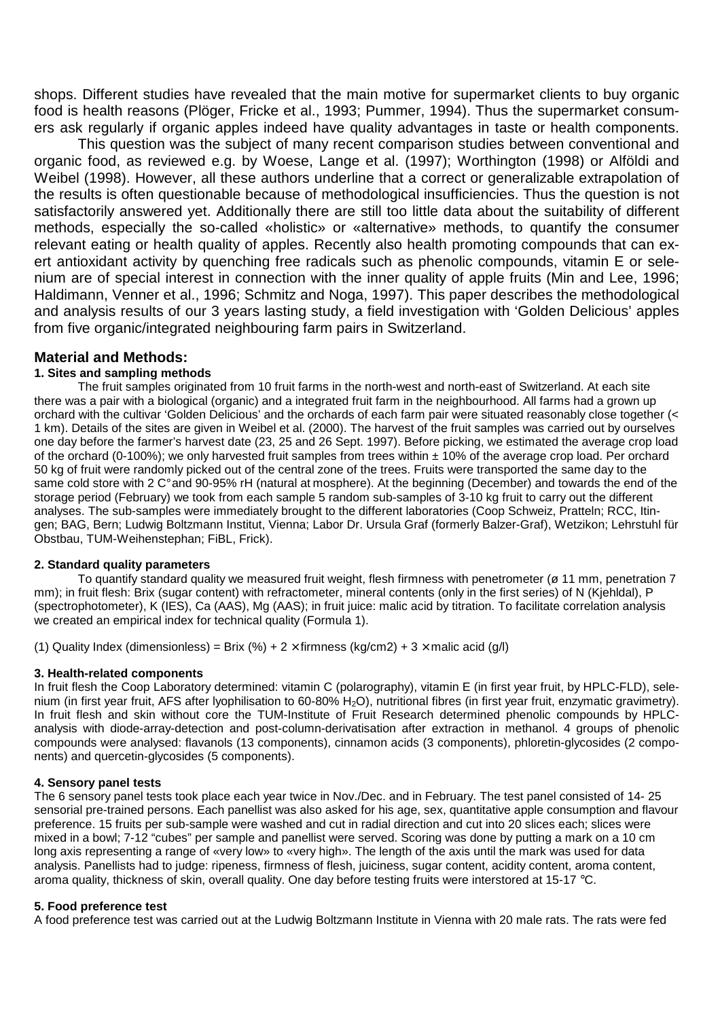shops. Different studies have revealed that the main motive for supermarket clients to buy organic food is health reasons (Plöger, Fricke et al., 1993; Pummer, 1994). Thus the supermarket consumers ask regularly if organic apples indeed have quality advantages in taste or health components.

 This question was the subject of many recent comparison studies between conventional and organic food, as reviewed e.g. by Woese, Lange et al. (1997); Worthington (1998) or Alföldi and Weibel (1998). However, all these authors underline that a correct or generalizable extrapolation of the results is often questionable because of methodological insufficiencies. Thus the question is not satisfactorily answered yet. Additionally there are still too little data about the suitability of different methods, especially the so-called «holistic» or «aternative» methods, to quantify the consumer relevant eating or health quality of apples. Recently also health promoting compounds that can exert antioxidant activity by quenching free radicals such as phenolic compounds, vitamin E or selenium are of special interest in connection with the inner quality of apple fruits (Min and Lee, 1996; Haldimann, Venner et al., 1996; Schmitz and Noga, 1997). This paper describes the methodological and analysis results of our 3 years lasting study, a field investigation with 'Golden Delicious' apples from five organic/integrated neighbouring farm pairs in Switzerland.

### **Material and Methods:**

#### **1. Sites and sampling methods**

 The fruit samples originated from 10 fruit farms in the north-west and north-east of Switzerland. At each site there was a pair with a biological (organic) and a integrated fruit farm in the neighbourhood. All farms had a grown up orchard with the cultivar 'Golden Delicious' and the orchards of each farm pair were situated reasonably close together (< 1 km). Details of the sites are given in Weibel et al. (2000). The harvest of the fruit samples was carried out by ourselves one day before the farmer's harvest date (23, 25 and 26 Sept. 1997). Before picking, we estimated the average crop load of the orchard (0-100%); we only harvested fruit samples from trees within ± 10% of the average crop load. Per orchard 50 kg of fruit were randomly picked out of the central zone of the trees. Fruits were transported the same day to the same cold store with 2 C° and 90-95% rH (natural at mosphere). At the beginning (December) and towards the end of the storage period (February) we took from each sample 5 random sub-samples of 3-10 kg fruit to carry out the different analyses. The sub-samples were immediately brought to the different laboratories (Coop Schweiz, Pratteln; RCC, Itingen; BAG, Bern; Ludwig Boltzmann Institut, Vienna; Labor Dr. Ursula Graf (formerly Balzer-Graf), Wetzikon; Lehrstuhl für Obstbau, TUM-Weihenstephan; FiBL, Frick).

#### **2. Standard quality parameters**

To quantify standard quality we measured fruit weight, flesh firmness with penetrometer (ø 11 mm, penetration 7 mm); in fruit flesh: Brix (sugar content) with refractometer, mineral contents (only in the first series) of N (Kjehldal), P (spectrophotometer), K (IES), Ca (AAS), Mg (AAS); in fruit juice: malic acid by titration. To facilitate correlation analysis we created an empirical index for technical quality (Formula 1).

(1) Quality Index (dimensionless) = Brix (%) + 2 × firmness (kg/cm2) + 3 × malic acid (g/l)

#### **3. Health-related components**

In fruit flesh the Coop Laboratory determined: vitamin C (polarography), vitamin E (in first year fruit, by HPLC-FLD), selenium (in first year fruit, AFS after lyophilisation to 60-80% H<sub>2</sub>O), nutritional fibres (in first year fruit, enzymatic gravimetry). In fruit flesh and skin without core the TUM-Institute of Fruit Research determined phenolic compounds by HPLCanalysis with diode-array-detection and post-column-derivatisation after extraction in methanol. 4 groups of phenolic compounds were analysed: flavanols (13 components), cinnamon acids (3 components), phloretin-glycosides (2 components) and quercetin-glycosides (5 components).

#### **4. Sensory panel tests**

The 6 sensory panel tests took place each year twice in Nov./Dec. and in February. The test panel consisted of 14- 25 sensorial pre-trained persons. Each panellist was also asked for his age, sex, quantitative apple consumption and flavour preference. 15 fruits per sub-sample were washed and cut in radial direction and cut into 20 slices each; slices were mixed in a bowl; 7-12 "cubes" per sample and panellist were served. Scoring was done by putting a mark on a 10 cm long axis representing a range of «very low» to «very high». The length of the axis until the mark was used for data analysis. Panellists had to judge: ripeness, firmness of flesh, juiciness, sugar content, acidity content, aroma content, aroma quality, thickness of skin, overall quality. One day before testing fruits were interstored at 15-17 °C.

#### **5. Food preference test**

A food preference test was carried out at the Ludwig Boltzmann Institute in Vienna with 20 male rats. The rats were fed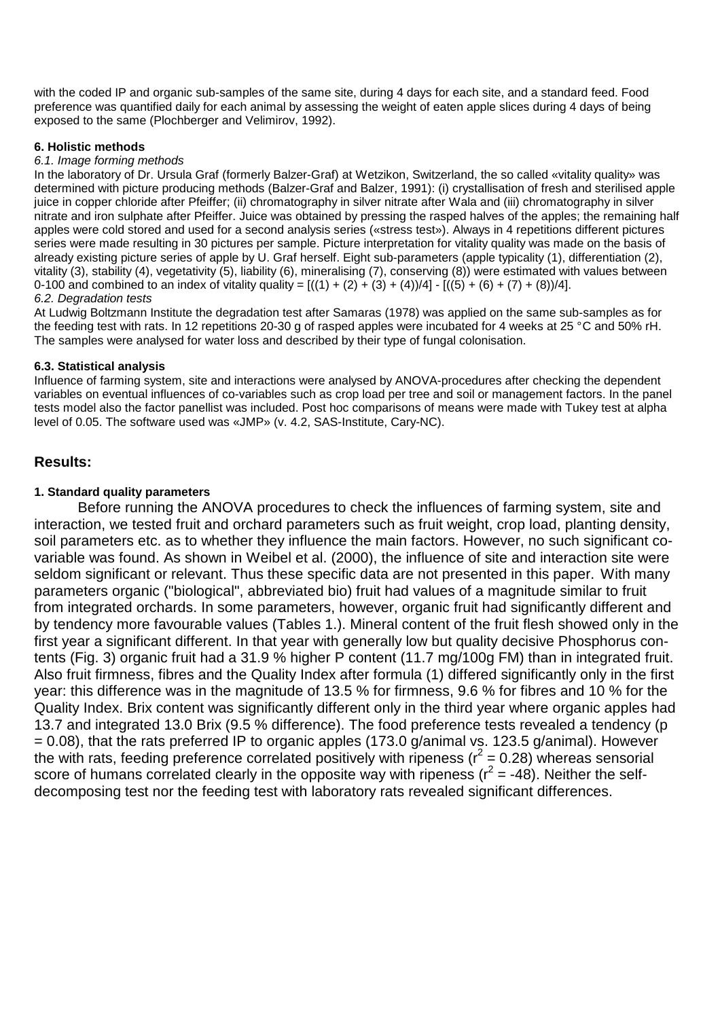with the coded IP and organic sub-samples of the same site, during 4 days for each site, and a standard feed. Food preference was quantified daily for each animal by assessing the weight of eaten apple slices during 4 days of being exposed to the same (Plochberger and Velimirov, 1992).

#### **6. Holistic methods**

#### 6.1. Image forming methods

In the laboratory of Dr. Ursula Graf (formerly Balzer-Graf) at Wetzikon, Switzerland, the so called «vitality quality» was determined with picture producing methods (Balzer-Graf and Balzer, 1991): (i) crystallisation of fresh and sterilised apple juice in copper chloride after Pfeiffer; (ii) chromatography in silver nitrate after Wala and (iii) chromatography in silver nitrate and iron sulphate after Pfeiffer. Juice was obtained by pressing the rasped halves of the apples; the remaining half apples were cold stored and used for a second analysis series («stress test»). Always in 4 repetitions different pictures series were made resulting in 30 pictures per sample. Picture interpretation for vitality quality was made on the basis of already existing picture series of apple by U. Graf herself. Eight sub-parameters (apple typicality (1), differentiation (2), vitality (3), stability (4), vegetativity (5), liability (6), mineralising (7), conserving (8)) were estimated with values between 0-100 and combined to an index of vitality quality =  $[((1) + (2) + (3) + (4))/4] - [(5) + (6) + (7) + (8))/4]$ . 6.2. Degradation tests

At Ludwig Boltzmann Institute the degradation test after Samaras (1978) was applied on the same sub-samples as for the feeding test with rats. In 12 repetitions 20-30 g of rasped apples were incubated for 4 weeks at 25 °C and 50% rH. The samples were analysed for water loss and described by their type of fungal colonisation.

### **6.3. Statistical analysis**

Influence of farming system, site and interactions were analysed by ANOVA-procedures after checking the dependent variables on eventual influences of co-variables such as crop load per tree and soil or management factors. In the panel tests model also the factor panellist was included. Post hoc comparisons of means were made with Tukey test at alpha level of 0.05. The software used was «JMP» (v. 4.2, SAS-Institute, Cary-NC).

## **Results:**

### **1. Standard quality parameters**

 Before running the ANOVA procedures to check the influences of farming system, site and interaction, we tested fruit and orchard parameters such as fruit weight, crop load, planting density, soil parameters etc. as to whether they influence the main factors. However, no such significant covariable was found. As shown in Weibel et al. (2000), the influence of site and interaction site were seldom significant or relevant. Thus these specific data are not presented in this paper. With many parameters organic ("biological", abbreviated bio) fruit had values of a magnitude similar to fruit from integrated orchards. In some parameters, however, organic fruit had significantly different and by tendency more favourable values (Tables 1.). Mineral content of the fruit flesh showed only in the first year a significant different. In that year with generally low but quality decisive Phosphorus contents (Fig. 3) organic fruit had a 31.9 % higher P content (11.7 mg/100g FM) than in integrated fruit. Also fruit firmness, fibres and the Quality Index after formula (1) differed significantly only in the first year: this difference was in the magnitude of 13.5 % for firmness, 9.6 % for fibres and 10 % for the Quality Index. Brix content was significantly different only in the third year where organic apples had 13.7 and integrated 13.0 Brix (9.5 % difference). The food preference tests revealed a tendency (p  $= 0.08$ ), that the rats preferred IP to organic apples (173.0 g/animal vs. 123.5 g/animal). However the with rats, feeding preference correlated positively with ripeness ( $r^2$  = 0.28) whereas sensorial score of humans correlated clearly in the opposite way with ripeness ( $r^2 = -48$ ). Neither the selfdecomposing test nor the feeding test with laboratory rats revealed significant differences.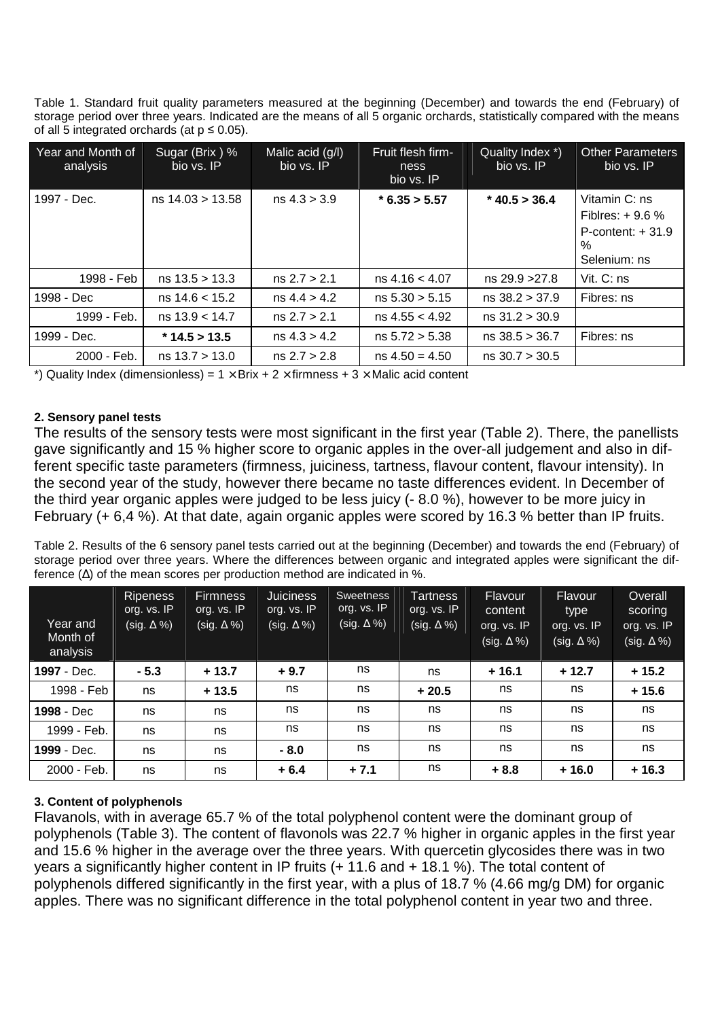Table 1. Standard fruit quality parameters measured at the beginning (December) and towards the end (February) of storage period over three years. Indicated are the means of all 5 organic orchards, statistically compared with the means of all 5 integrated orchards (at  $p \le 0.05$ ).

| Year and Month of<br>analysis | Sugar (Brix) %<br>bio vs. IP | Malic acid (g/l)<br>bio vs. IP | Fruit flesh firm-<br>ness | Quality Index *)<br>bio vs. IP | <b>Other Parameters</b><br>bio vs. IP                                           |
|-------------------------------|------------------------------|--------------------------------|---------------------------|--------------------------------|---------------------------------------------------------------------------------|
|                               |                              |                                | bio vs. IP                |                                |                                                                                 |
| 1997 - Dec.                   | $ns$ 14.03 > 13.58           | ns 4.3 > 3.9                   | $*$ 6.35 > 5.57           | $*$ 40.5 > 36.4                | Vitamin C: ns<br>Fiblres: $+9.6%$<br>$P$ -content: $+31.9$<br>%<br>Selenium: ns |
| 1998 - Feb                    | $ns$ 13.5 > 13.3             | ns 2.7 > 2.1                   | ns 4.16 < 4.07            | ns 29.9 > 27.8                 | Vit. $C:$ ns                                                                    |
| 1998 - Dec                    | $ns$ 14.6 < 15.2             | ns 4.4 > 4.2                   | ns 5.30 > 5.15            | ns 38.2 > 37.9                 | Fibres: ns                                                                      |
| 1999 - Feb.                   | $ns$ 13.9 $<$ 14.7           | ns 2.7 > 2.1                   | $ns$ 4.55 $<$ 4.92        | ns 31.2 > 30.9                 |                                                                                 |
| 1999 - Dec.                   | $*$ 14.5 > 13.5              | ns 4.3 > 4.2                   | ns 5.72 > 5.38            | $ns$ 38.5 $>$ 36.7             | Fibres: ns                                                                      |
| 2000 - Feb.                   | ns 13.7 > 13.0               | ns 2.7 > 2.8                   | $ns 4.50 = 4.50$          | ns 30.7 > 30.5                 |                                                                                 |

\*) Quality Index (dimensionless) =  $1 \times$  Brix + 2  $\times$  firmness + 3  $\times$  Malic acid content

### **2. Sensory panel tests**

The results of the sensory tests were most significant in the first year (Table 2). There, the panellists gave significantly and 15 % higher score to organic apples in the over-all judgement and also in different specific taste parameters (firmness, juiciness, tartness, flavour content, flavour intensity). In the second year of the study, however there became no taste differences evident. In December of the third year organic apples were judged to be less juicy (- 8.0 %), however to be more juicy in February (+ 6,4 %). At that date, again organic apples were scored by 16.3 % better than IP fruits.

Table 2. Results of the 6 sensory panel tests carried out at the beginning (December) and towards the end (February) of storage period over three years. Where the differences between organic and integrated apples were significant the difference  $(\Delta)$  of the mean scores per production method are indicated in %.

| Year and<br>Month of<br>analysis | <b>Ripeness</b><br>org. vs. IP<br>$(sig. \Delta \%)$ | <b>Firmness</b><br>org. vs. IP<br>(sig. $\Delta$ %) $^{\prime}$ | <b>Juiciness</b><br>org. vs. IP<br>(sig. $\Delta$ %) | Sweetness<br>org. vs. IP<br>(sig. $\Delta \%$ ) | Tartness<br>org. vs. IP<br>(sig. $\Delta \%$ ) | <b>Flavour</b><br>content<br>org. vs. IP<br>(sig. ∆ %) | <b>Flavour</b><br>type<br>org. vs. IP<br>(sig. $\Delta \%$ ) | Overall<br>scoring<br>org. vs. IP<br>(sig. $\Delta \%$ ) |
|----------------------------------|------------------------------------------------------|-----------------------------------------------------------------|------------------------------------------------------|-------------------------------------------------|------------------------------------------------|--------------------------------------------------------|--------------------------------------------------------------|----------------------------------------------------------|
| 1997 - Dec.                      | $-5.3$                                               | $+13.7$                                                         | $+9.7$                                               | ns                                              | ns                                             | $+16.1$                                                | $+12.7$                                                      | $+15.2$                                                  |
| 1998 - Feb                       | ns                                                   | $+13.5$                                                         | ns                                                   | ns                                              | $+20.5$                                        | ns                                                     | ns                                                           | $+15.6$                                                  |
| 1998 - Dec                       | ns                                                   | ns                                                              | ns                                                   | ns                                              | ns                                             | ns                                                     | ns                                                           | ns                                                       |
| 1999 - Feb.                      | ns                                                   | ns                                                              | ns                                                   | ns                                              | ns                                             | ns                                                     | ns                                                           | ns                                                       |
| 1999 - Dec.                      | ns                                                   | ns                                                              | $-8.0$                                               | ns                                              | ns                                             | ns                                                     | ns                                                           | ns                                                       |
| 2000 - Feb.                      | ns                                                   | ns                                                              | $+6.4$                                               | $+7.1$                                          | ns                                             | $+8.8$                                                 | $+16.0$                                                      | $+16.3$                                                  |

## **3. Content of polyphenols**

Flavanols, with in average 65.7 % of the total polyphenol content were the dominant group of polyphenols (Table 3). The content of flavonols was 22.7 % higher in organic apples in the first year and 15.6 % higher in the average over the three years. With quercetin glycosides there was in two years a significantly higher content in IP fruits (+ 11.6 and + 18.1 %). The total content of polyphenols differed significantly in the first year, with a plus of 18.7 % (4.66 mg/g DM) for organic apples. There was no significant difference in the total polyphenol content in year two and three.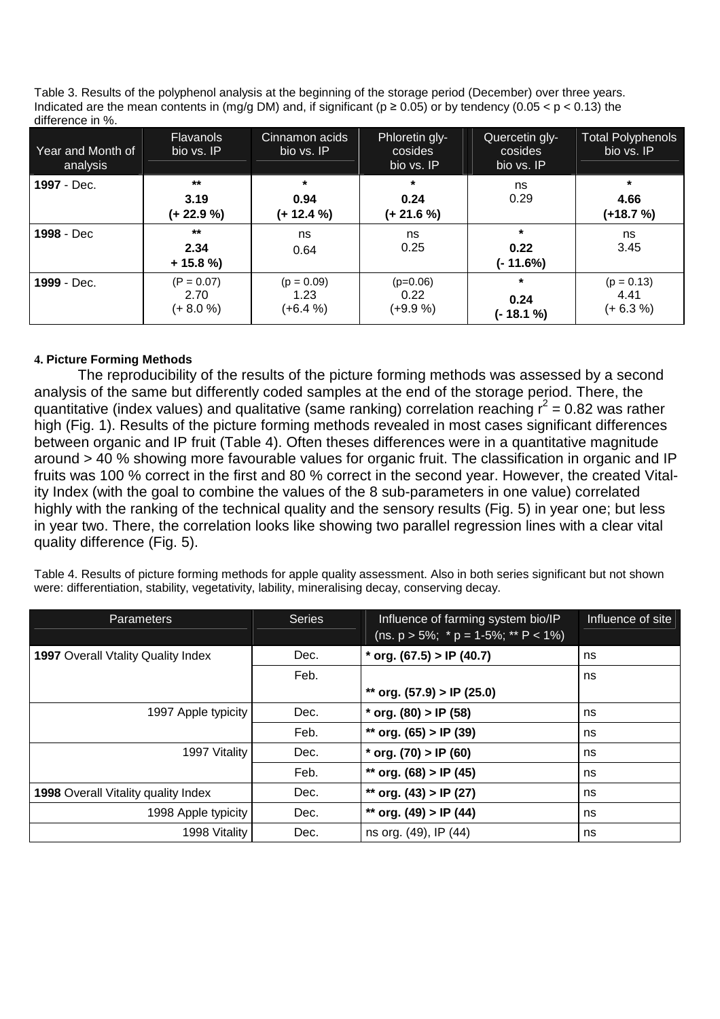Table 3. Results of the polyphenol analysis at the beginning of the storage period (December) over three years. Indicated are the mean contents in (mg/g DM) and, if significant ( $p \ge 0.05$ ) or by tendency (0.05 < p < 0.13) the difference in %.

| Year and Month of<br>analysis | <b>Flavanols</b><br>bio vs. IP      | Cinnamon acids<br>bio vs. IP       | Phloretin gly-<br>cosides<br>bio vs. IP | Quercetin gly-<br>cosides<br>bio vs. IP | <b>Total Polyphenols</b><br>bio vs. IP |
|-------------------------------|-------------------------------------|------------------------------------|-----------------------------------------|-----------------------------------------|----------------------------------------|
| 1997 - Dec.                   | $***$<br>3.19<br>(+ 22.9 %)         | $\star$<br>0.94<br>$(+ 12.4 %)$    | $\star$<br>0.24<br>(+ 21.6 %)           | ns<br>0.29                              | $\star$<br>4.66<br>(+18.7 %)           |
| 1998 - Dec                    | $***$<br>2.34<br>$+ 15.8 %$         | ns<br>0.64                         | ns<br>0.25                              | $\ast$<br>0.22<br>$(-11.6%)$            | ns<br>3.45                             |
| 1999 - Dec.                   | $(P = 0.07)$<br>2.70<br>$(+ 8.0 %)$ | $(p = 0.09)$<br>1.23<br>$(+6.4\%)$ | $(p=0.06)$<br>0.22<br>$(+9.9\%)$        | $\ast$<br>0.24<br>(- 18.1 %)            | $(p = 0.13)$<br>4.41<br>$(+ 6.3 %)$    |

## **4. Picture Forming Methods**

 The reproducibility of the results of the picture forming methods was assessed by a second analysis of the same but differently coded samples at the end of the storage period. There, the quantitative (index values) and qualitative (same ranking) correlation reaching  $r^2$  = 0.82 was rather high (Fig. 1). Results of the picture forming methods revealed in most cases significant differences between organic and IP fruit (Table 4). Often theses differences were in a quantitative magnitude around > 40 % showing more favourable values for organic fruit. The classification in organic and IP fruits was 100 % correct in the first and 80 % correct in the second year. However, the created Vitality Index (with the goal to combine the values of the 8 sub-parameters in one value) correlated highly with the ranking of the technical quality and the sensory results (Fig. 5) in year one; but less in year two. There, the correlation looks like showing two parallel regression lines with a clear vital quality difference (Fig. 5).

Table 4. Results of picture forming methods for apple quality assessment. Also in both series significant but not shown were: differentiation, stability, vegetativity, lability, mineralising decay, conserving decay.

| <b>Parameters</b>                   | <b>Series</b> | Influence of farming system bio/IP<br>(ns. $p > 5\%$ ; $* p = 1-5\%$ ; $* F < 1\%$ ) | Influence of site |
|-------------------------------------|---------------|--------------------------------------------------------------------------------------|-------------------|
| 1997 Overall Vtality Quality Index  | Dec.          | * org. $(67.5) > IP$ $(40.7)$                                                        | ns                |
|                                     | Feb.          |                                                                                      | ns                |
|                                     |               | ** org. $(57.9) > IP$ $(25.0)$                                                       |                   |
| 1997 Apple typicity                 | Dec.          | * org. $(80) > IP$ (58)                                                              | ns                |
|                                     | Feb.          | ** org. $(65)$ > IP $(39)$                                                           | ns                |
| 1997 Vitality                       | Dec.          | * org. $(70)$ > IP $(60)$                                                            | ns                |
|                                     | Feb.          | ** org. $(68) > IP$ (45)                                                             | ns                |
| 1998 Overall Vitality quality Index | Dec.          | ** org. $(43)$ > IP $(27)$                                                           | ns                |
| 1998 Apple typicity                 | Dec.          | ** org. $(49)$ > IP $(44)$                                                           | ns                |
| 1998 Vitality                       | Dec.          | ns org. (49), IP (44)                                                                | ns                |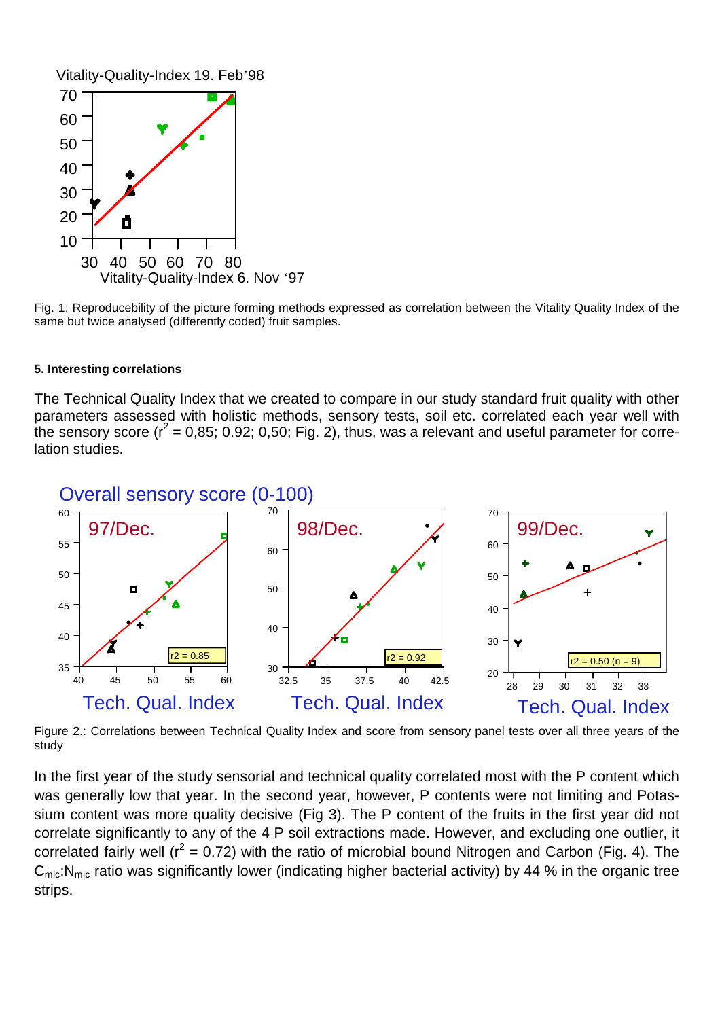Vitality-Quality-Index 19. Feb'98



Fig. 1: Reproducebility of the picture forming methods expressed as correlation between the Vitality Quality Index of the same but twice analysed (differently coded) fruit samples.

#### **5. Interesting correlations**

The Technical Quality Index that we created to compare in our study standard fruit quality with other parameters assessed with holistic methods, sensory tests, soil etc. correlated each year well with the sensory score ( $r^2$  = 0,85; 0.92; 0,50; Fig. 2), thus, was a relevant and useful parameter for correlation studies.



Figure 2.: Correlations between Technical Quality Index and score from sensory panel tests over all three years of the study

In the first year of the study sensorial and technical quality correlated most with the P content which was generally low that year. In the second year, however, P contents were not limiting and Potassium content was more quality decisive (Fig 3). The P content of the fruits in the first year did not correlate significantly to any of the 4 P soil extractions made. However, and excluding one outlier, it correlated fairly well ( $r^2$  = 0.72) with the ratio of microbial bound Nitrogen and Carbon (Fig. 4). The  $C_{\text{mic}}$ :N<sub>mic</sub> ratio was significantly lower (indicating higher bacterial activity) by 44 % in the organic tree strips.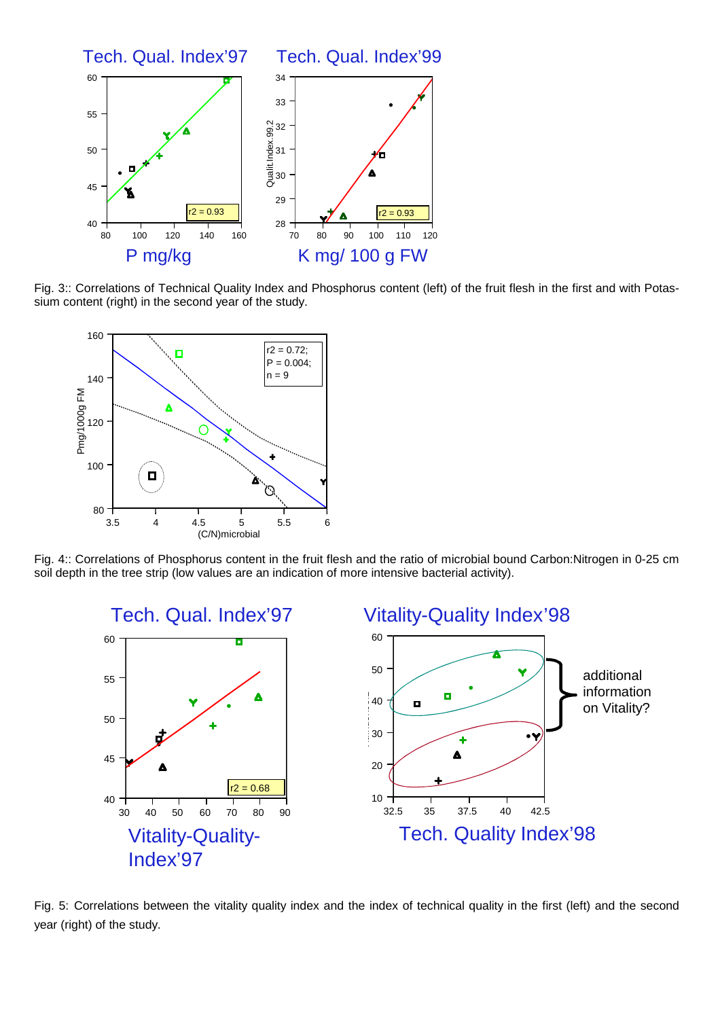

Fig. 3:: Correlations of Technical Quality Index and Phosphorus content (left) of the fruit flesh in the first and with Potassium content (right) in the second year of the study.



Fig. 4:: Correlations of Phosphorus content in the fruit flesh and the ratio of microbial bound Carbon:Nitrogen in 0-25 cm soil depth in the tree strip (low values are an indication of more intensive bacterial activity).



Fig. 5: Correlations between the vitality quality index and the index of technical quality in the first (left) and the second year (right) of the study.